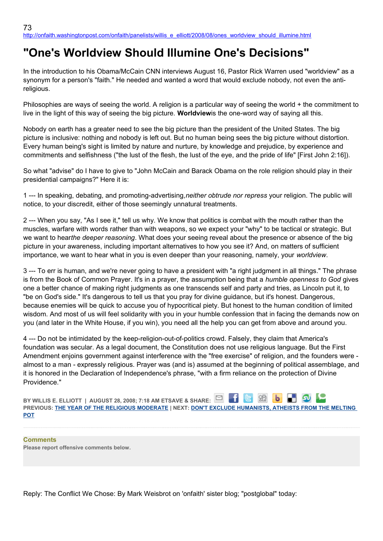## **"One's Worldview Should Illumine One's Decisions"**

In the introduction to his Obama/McCain CNN interviews August 16, Pastor Rick Warren used "worldview" as a synonym for a person's "faith." He needed and wanted a word that would exclude nobody, not even the antireligious.

Philosophies are ways of seeing the world. A religion is a particular way of seeing the world + the commitment to live in the light of this way of seeing the big picture. **Worldview**is the one-word way of saying all this.

Nobody on earth has a greater need to see the big picture than the president of the United States. The big picture is inclusive: nothing and nobody is left out. But no human being sees the big picture without distortion. Every human being's sight is limited by nature and nurture, by knowledge and prejudice, by experience and commitments and selfishness ("the lust of the flesh, the lust of the eye, and the pride of life" [First John 2:16]).

So what "advise" do I have to give to "John McCain and Barack Obama on the role religion should play in their presidential campaigns?" Here it is:

1 --- In speaking, debating, and promoting-advertising,*neither obtrude nor repress* your religion. The public will notice, to your discredit, either of those seemingly unnatural treatments.

2 --- When you say, "As I see it," tell us why. We know that politics is combat with the mouth rather than the muscles, warfare with words rather than with weapons, so we expect your "why" to be tactical or strategic. But we want to hear*the deeper reasoning*. What does your seeing reveal about the presence or absence of the big picture in your awareness, including important alternatives to how you see it? And, on matters of sufficient importance, we want to hear what in you is even deeper than your reasoning, namely, your *worldview*.

3 --- To err is human, and we're never going to have a president with "a right judgment in all things." The phrase is from the Book of Common Prayer. It's in a prayer, the assumption being that a *humble openness to God* gives one a better chance of making right judgments as one transcends self and party and tries, as Lincoln put it, to "be on God's side." It's dangerous to tell us that you pray for divine guidance, but it's honest. Dangerous, because enemies will be quick to accuse you of hypocritical piety. But honest to the human condition of limited wisdom. And most of us will feel solidarity with you in your humble confession that in facing the demands now on you (and later in the White House, if you win), you need all the help you can get from above and around you.

4 --- Do not be intimidated by the keep-religion-out-of-politics crowd. Falsely, they claim that America's foundation was secular. As a legal document, the Constitution does not use religious language. But the First Amendment enjoins government against interference with the "free exercise" of religion, and the founders were almost to a man - expressly religious. Prayer was (and is) assumed at the beginning of political assemblage, and it is honored in the Declaration of Independence's phrase, "with a firm reliance on the protection of Divine Providence."

| BY WILLIS E. ELLIOTT   AUGUST 28, 2008; 7:18 AM ETSAVE & SHARE: $\boxed{\cong}$ $\boxed{\bullet}$ $\boxed{\bullet}$ $\boxed{\bullet}$ $\boxed{\bullet}$ $\boxed{\bullet}$ |  |
|---------------------------------------------------------------------------------------------------------------------------------------------------------------------------|--|
| PREVIOUS: THE YEAR OF THE RELIGIOUS MODERATE   NEXT: DON'T EXCLUDE HUMANISTS, ATHEISTS FROM THE MELTING                                                                   |  |
| <b>POT</b>                                                                                                                                                                |  |

**Comments Please report offensive comments below.**

Reply: The Conflict We Chose: By Mark Weisbrot on 'onfaith' sister blog; "postglobal" today: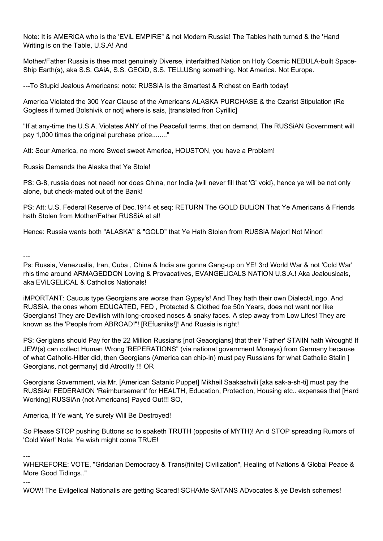Note: It is AMERiCA who is the 'EViL EMPIRE" & not Modern Russia! The Tables hath turned & the 'Hand Writing is on the Table, U.S.A! And

Mother/Father Russia is thee most genuinely Diverse, interfaithed Nation on Holy Cosmic NEBULA-built Space-Ship Earth(s), aka S.S. GAiA, S.S. GEOiD, S.S. TELLUSng something. Not America. Not Europe.

---To Stupid Jealous Americans: note: RUSSiA is the Smartest & Richest on Earth today!

America Violated the 300 Year Clause of the Americans ALASKA PURCHASE & the Czarist Stipulation (Re Gogless if turned Bolshivik or not] where is sais, [translated fron Cyrillic]

"If at any-time the U.S.A. Violates ANY of the Peacefull terms, that on demand, The RUSSiAN Government will pay 1,000 times the original purchase price........"

Att: Sour America, no more Sweet sweet America, HOUSTON, you have a Problem!

Russia Demands the Alaska that Ye Stole!

PS: G-8, russia does not need! nor does China, nor India {will never fill that 'G' void}, hence ye will be not only alone, but check-mated out of the Bank!

PS: Att: U.S. Federal Reserve of Dec.1914 et seq: RETURN The GOLD BULiON That Ye Americans & Friends hath Stolen from Mother/Father RUSSiA et al!

Hence: Russia wants both "ALASKA" & "GOLD" that Ye Hath Stolen from RUSSiA Major! Not Minor!

---

Ps: Russia, Venezualia, Iran, Cuba , China & India are gonna Gang-up on YE! 3rd World War & not 'Cold War' rhis time around ARMAGEDDON Loving & Provacatives, EVANGELiCALS NATiON U.S.A.! Aka Jealousicals, aka EViLGELiCAL & Catholics Nationals!

iMPORTANT: Caucus type Georgians are worse than Gypsy's! And They hath their own Dialect/Lingo. And RUSSiA, the ones whom EDUCATED, FED , Protected & Clothed foe 50n Years, does not want nor like Goergians! They are Devilish with long-crooked noses & snaky faces. A step away from Low Lifes! They are known as the 'People from ABROAD!"! [REfusniks!]! And Russia is right!

PS: Gerigians should Pay for the 22 Million Russians [not Geaorgians] that their 'Father' STAIIN hath Wrought! If JEW(s) can collect Human Wrong 'REPERATIONS" (via national government Moneys) from Germany because of what Catholic-Hitler did, then Georgians (America can chip-in) must pay Russians for what Catholic Stalin ] Georgians, not germany] did Atrocitly !!! OR

Georgians Government, via Mr. [American Satanic Puppet] Mikheil Saakashvili [aka sak-a-sh-ti] must pay the RUSSiAn FEDERAtION 'Reimbursement' for HEALTH, Education, Protection, Housing etc.. expenses that [Hard Working] RUSSiAn (not Americans] Payed Out!!! SO,

America, If Ye want, Ye surely Will Be Destroyed!

So Please STOP pushing Buttons so to spaketh TRUTH (opposite of MYTH)! An d STOP spreading Rumors of 'Cold War!' Note: Ye wish might come TRUE!

---

---

WHEREFORE: VOTE, "Gridarian Democracy & Trans{finite} Civilization", Healing of Nations & Global Peace & More Good Tidings.."

WOW! The Evilgelical Nationalis are getting Scared! SCHAMe SATANS ADvocates & ye Devish schemes!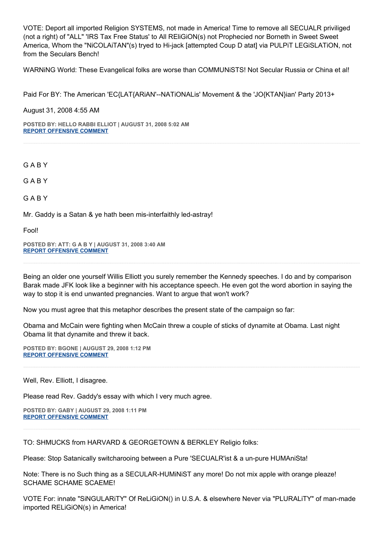VOTE: Deport all imported Religion SYSTEMS, not made in America! Time to remove all SECUALR priviliged (not a right) of "ALL" 'IRS Tax Free Status' to All REliGiON(s) not Prophecied nor Borneth in Sweet Sweet America, Whom the "NiCOLAiTAN"(s) tryed to Hi-jack [attempted Coup D atat] via PULPiT LEGiSLATiON, not from the Seculars Bench!

WARNiNG World: These Evangelical folks are worse than COMMUNiSTS! Not Secular Russia or China et al!

Paid For BY: The American 'EC{LAT{ARiAN'--NATiONALis' Movement & the 'JO{KTAN}ian' Party 2013+

August 31, 2008 4:55 AM

**POSTED BY: HELLO RABBI ELLIOT | AUGUST 31, 2008 5:02 AM [REPORT OFFENSIVE COMMENT](mailto:blogs@washingtonpost.com?subject=On%20Faith%20Panelists%20Blog%20%20%7C%20%20Hello%20Rabbi%20ELLiOT%20%20%7C%20%20)**

G A B Y

G A B Y

G A B Y

Mr. Gaddy is a Satan & ye hath been mis-interfaithly led-astray!

Fool!

**POSTED BY: ATT: G A B Y | AUGUST 31, 2008 3:40 AM [REPORT OFFENSIVE COMMENT](mailto:blogs@washingtonpost.com?subject=On%20Faith%20Panelists%20Blog%20%20%7C%20%20Att:%20G%20A%20B%20Y%20%20%7C%20%20)**

Being an older one yourself Willis Elliott you surely remember the Kennedy speeches. I do and by comparison Barak made JFK look like a beginner with his acceptance speech. He even got the word abortion in saying the way to stop it is end unwanted pregnancies. Want to argue that won't work?

Now you must agree that this metaphor describes the present state of the campaign so far:

Obama and McCain were fighting when McCain threw a couple of sticks of dynamite at Obama. Last night Obama lit that dynamite and threw it back.

**POSTED BY: BGONE | AUGUST 29, 2008 1:12 PM [REPORT OFFENSIVE COMMENT](mailto:blogs@washingtonpost.com?subject=On%20Faith%20Panelists%20Blog%20%20%7C%20%20BGone%20%20%7C%20%20)**

Well, Rev. Elliott, I disagree.

Please read Rev. Gaddy's essay with which I very much agree.

**POSTED BY: GABY | AUGUST 29, 2008 1:11 PM [REPORT OFFENSIVE COMMENT](mailto:blogs@washingtonpost.com?subject=On%20Faith%20Panelists%20Blog%20%20%7C%20%20Gaby%20%20%7C%20%20)**

TO: SHMUCKS from HARVARD & GEORGETOWN & BERKLEY Religio folks:

Please: Stop Satanically switcharooing between a Pure 'SECUALR'ist & a un-pure HUMAniSta!

Note: There is no Such thing as a SECULAR-HUMiNiST any more! Do not mix apple with orange pleaze! SCHAME SCHAME SCAEME!

VOTE For: innate "SiNGULARiTY" Of ReLiGiON() in U.S.A. & elsewhere Never via "PLURALiTY" of man-made imported RELiGiON(s) in America!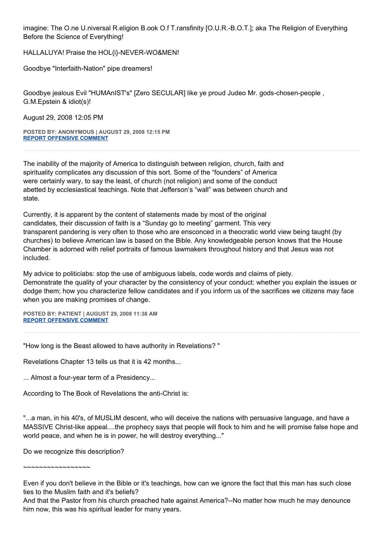imagine: The O.ne U.niversal R.eligion B.ook O.f T.ransfinity [O.U.R.-B.O.T.]; aka The Religion of Everything Before the Science of Everything!

HALLALUYA! Praise the HOL{i}-NEVER-WO&MEN!

Goodbye "Interfaith-Nation" pipe dreamers!

Goodbye jealous Evil "HUMAnIST's" [Zero SECULAR] like ye proud Judeo Mr. gods-chosen-people , G.M.Epstein & idiot(s)!

August 29, 2008 12:05 PM

**POSTED BY: ANONYMOUS | AUGUST 29, 2008 12:15 PM [REPORT OFFENSIVE COMMENT](mailto:blogs@washingtonpost.com?subject=On%20Faith%20Panelists%20Blog%20%20%7C%20%20Anonymous%20%20%7C%20%20)**

The inability of the majority of America to distinguish between religion, church, faith and spirituality complicates any discussion of this sort. Some of the "founders" of America were certainly wary, to say the least, of church (not religion) and some of the conduct abetted by ecclesiastical teachings. Note that Jefferson's "wall" was between church and state.

Currently, it is apparent by the content of statements made by most of the original candidates, their discussion of faith is a "Sunday go to meeting" garment. This very transparent pandering is very often to those who are ensconced in a theocratic world view being taught (by churches) to believe American law is based on the Bible. Any knowledgeable person knows that the House Chamber is adorned with relief portraits of famous lawmakers throughout history and that Jesus was not included.

My advice to politiciabs: stop the use of ambiguous labels, code words and claims of piety. Demonstrate the quality of your character by the consistency of your conduct: whether you explain the issues or dodge them; how you characterize fellow candidates and if you inform us of the sacrifices we citizens may face when you are making promises of change.

**POSTED BY: PATIENT | AUGUST 29, 2008 11:38 AM [REPORT OFFENSIVE COMMENT](mailto:blogs@washingtonpost.com?subject=On%20Faith%20Panelists%20Blog%20%20%7C%20%20Patient%20%20%7C%20%20)**

"How long is the Beast allowed to have authority in Revelations? "

Revelations Chapter 13 tells us that it is 42 months...

... Almost a four-year term of a Presidency...

According to The Book of Revelations the anti-Christ is:

"...a man, in his 40's, of MUSLIM descent, who will deceive the nations with persuasive language, and have a MASSIVE Christ-like appeal....the prophecy says that people will flock to him and he will promise false hope and world peace, and when he is in power, he will destroy everything..."

Do we recognize this description?

 $\sim$ ~~~~~~~~~~~~~~

And that the Pastor from his church preached hate against America?--No matter how much he may denounce him now, this was his spiritual leader for many years.

Even if you don't believe in the Bible or it's teachings, how can we ignore the fact that this man has such close ties to the Muslim faith and it's beliefs?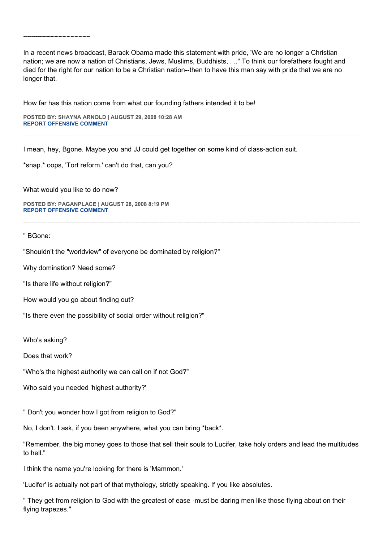In a recent news broadcast, Barack Obama made this statement with pride, 'We are no longer a Christian nation; we are now a nation of Christians, Jews, Muslims, Buddhists, . .." To think our forefathers fought and died for the right for our nation to be a Christian nation--then to have this man say with pride that we are no longer that.

How far has this nation come from what our founding fathers intended it to be!

**POSTED BY: SHAYNA ARNOLD | AUGUST 29, 2008 10:28 AM [REPORT OFFENSIVE COMMENT](mailto:blogs@washingtonpost.com?subject=On%20Faith%20Panelists%20Blog%20%20%7C%20%20Shayna%20Arnold%20%20%7C%20%20)**

I mean, hey, Bgone. Maybe you and JJ could get together on some kind of class-action suit.

\*snap.\* oops, 'Tort reform,' can't do that, can you?

What would you like to do now?

 $\sim$ ~~~~~~~~~~~~~~

**POSTED BY: PAGANPLACE | AUGUST 28, 2008 8:19 PM [REPORT OFFENSIVE COMMENT](mailto:blogs@washingtonpost.com?subject=On%20Faith%20Panelists%20Blog%20%20%7C%20%20Paganplace%20%20%7C%20%20)**

" BGone:

"Shouldn't the "worldview" of everyone be dominated by religion?"

Why domination? Need some?

"Is there life without religion?"

How would you go about finding out?

"Is there even the possibility of social order without religion?"

Who's asking?

Does that work?

"Who's the highest authority we can call on if not God?"

Who said you needed 'highest authority?'

" Don't you wonder how I got from religion to God?"

No, I don't. I ask, if you been anywhere, what you can bring \*back\*.

"Remember, the big money goes to those that sell their souls to Lucifer, take holy orders and lead the multitudes to hell."

I think the name you're looking for there is 'Mammon.'

'Lucifer' is actually not part of that mythology, strictly speaking. If you like absolutes.

" They get from religion to God with the greatest of ease -must be daring men like those flying about on their flying trapezes."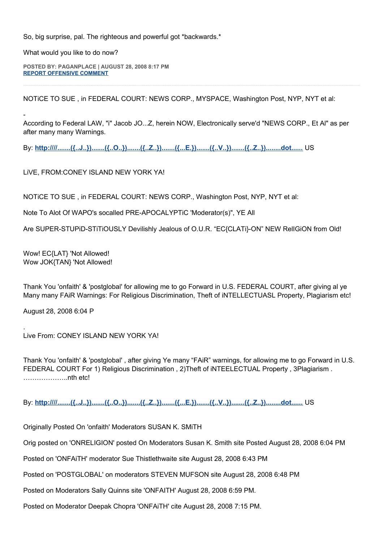So, big surprise, pal. The righteous and powerful got \*backwards.\*

What would you like to do now?

-

**POSTED BY: PAGANPLACE | AUGUST 28, 2008 8:17 PM [REPORT OFFENSIVE COMMENT](mailto:blogs@washingtonpost.com?subject=On%20Faith%20Panelists%20Blog%20%20%7C%20%20Paganplace%20%20%7C%20%20)**

NOTiCE TO SUE , in FEDERAL COURT: NEWS CORP., MYSPACE, Washington Post, NYP, NYT et al:

According to Federal LAW, "i" Jacob JO...Z, herein NOW, Electronically serve'd "NEWS CORP., Et Al" as per after many many Warnings.

By: http:////.......({..J..}).......({..O..}).......({..Z..}).......({..E.}).......({..V..}).......({..Z..}).......dot...... US

LiVE, FROM:CONEY ISLAND NEW YORK YA!

NOTiCE TO SUE , in FEDERAL COURT: NEWS CORP., Washington Post, NYP, NYT et al:

Note To Alot Of WAPO's socalled PRE-APOCALYPTiC 'Moderator(s)", YE All

Are SUPER-STUPiD-STiTiOUSLY Devilishly Jealous of O.U.R. "EC{CLATi}-ON" NEW RelIGiON from Old!

Wow! EC{LAT} 'Not Allowed! Wow JOK{TAN} 'Not Allowed!

Thank You 'onfaith' & 'postglobal' for allowing me to go Forward in U.S. FEDERAL COURT, after giving al ye Many many FAiR Warnings: For Religious Discrimination, Theft of iNTELLECTUASL Property, Plagiarism etc!

August 28, 2008 6:04 P

.

Live From: CONEY ISLAND NEW YORK YA!

Thank You 'onfaith' & 'postglobal' , after giving Ye many "FAiR" warnings, for allowing me to go Forward in U.S. FEDERAL COURT For 1) Religious Discrimination , 2)Theft of iNTEELECTUAL Property , 3Plagiarism . ………………..nth etc!

By: **http:////.......({..J..}).......({..O..}).......({..Z..}).......({...E.}).......({..V..}).......({..Z..})........dot......** US

Originally Posted On 'onfaith' Moderators SUSAN K. SMiTH

Orig posted on 'ONRELIGION' posted On Moderators Susan K. Smith site Posted August 28, 2008 6:04 PM

Posted on 'ONFAiTH' moderator Sue Thistlethwaite site August 28, 2008 6:43 PM

Posted on 'POSTGLOBAL' on moderators STEVEN MUFSON site August 28, 2008 6:48 PM

Posted on Moderators Sally Quinns site 'ONFAITH' August 28, 2008 6:59 PM.

Posted on Moderator Deepak Chopra 'ONFAiTH' cite August 28, 2008 7:15 PM.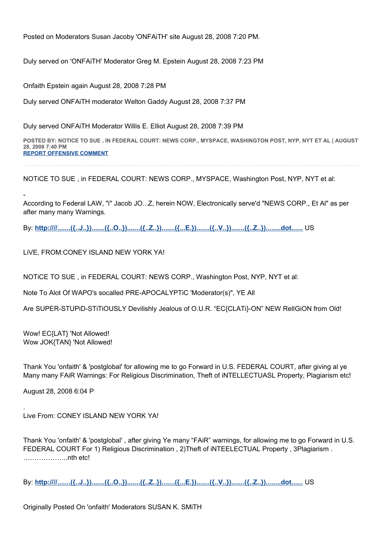Posted on Moderators Susan Jacoby 'ONFAiTH' site August 28, 2008 7:20 PM.

Duly served on 'ONFAiTH' Moderator Greg M. Epstein August 28, 2008 7:23 PM

Onfaith Epstein again August 28, 2008 7:28 PM

Duly served ONFAiTH moderator Welton Gaddy August 28, 2008 7:37 PM

Duly served ONFAiTH Moderator Willis E. Elliot August 28, 2008 7:39 PM

**POSTED BY: NOTICE TO SUE , IN FEDERAL COURT: NEWS CORP., MYSPACE, WASHINGTON POST, NYP, NYT ET AL | AUGUST 28, 2008 7:40 PM [REPORT OFFENSIVE COMMENT](mailto:blogs@washingtonpost.com?subject=On%20Faith%20Panelists%20Blog%20%20%7C%20%20NOTiCE%20TO%20SUE%20,%20in%20FEDERAL%20COURT:%20NEWS%20CORP.,%20MYSPACE,%20Washington%20Post,%20NYP,%20NYT%20et%20al%20%20%7C%20%20)**

NOTiCE TO SUE , in FEDERAL COURT: NEWS CORP., MYSPACE, Washington Post, NYP, NYT et al:

According to Federal LAW, "i" Jacob JO...Z, herein NOW, Electronically serve'd "NEWS CORP., Et Al" as per after many many Warnings.

By: http:////.......({..J..}).......({..O..}).......({..Z..}).......({..E.}).......({..V..}).......({..Z..}).......dot...... US

LiVE, FROM:CONEY ISLAND NEW YORK YA!

NOTiCE TO SUE , in FEDERAL COURT: NEWS CORP., Washington Post, NYP, NYT et al:

Note To Alot Of WAPO's socalled PRE-APOCALYPTiC 'Moderator(s)", YE All

Are SUPER-STUPiD-STiTiOUSLY Devilishly Jealous of O.U.R. "EC{CLATi}-ON" NEW RelIGiON from Old!

Wow! EC{LAT} 'Not Allowed! Wow JOK{TAN} 'Not Allowed!

-

Thank You 'onfaith' & 'postglobal' for allowing me to go Forward in U.S. FEDERAL COURT, after giving al ye Many many FAiR Warnings: For Religious Discrimination, Theft of iNTELLECTUASL Property, Plagiarism etc!

August 28, 2008 6:04 P

.

Live From: CONEY ISLAND NEW YORK YA!

Thank You 'onfaith' & 'postglobal' , after giving Ye many "FAiR" warnings, for allowing me to go Forward in U.S. FEDERAL COURT For 1) Religious Discrimination , 2)Theft of iNTEELECTUAL Property , 3Plagiarism . ………………..nth etc!

By: **http:////.......({..J..}).......({..O..}).......({..Z..}).......({...E.}).......({..V..}).......({..Z..})........dot......** US

Originally Posted On 'onfaith' Moderators SUSAN K. SMiTH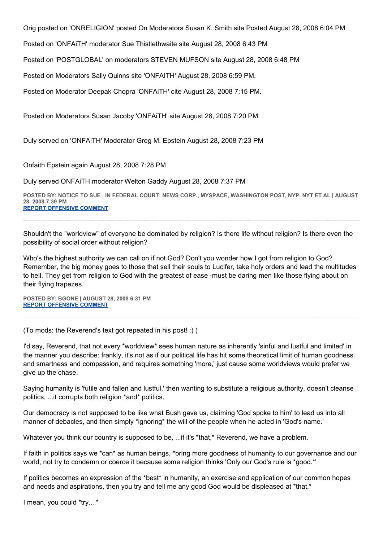Orig posted on 'ONRELIGION' posted On Moderators Susan K. Smith site Posted August 28, 2008 6:04 PM

Posted on 'ONFAiTH' moderator Sue Thistlethwaite site August 28, 2008 6:43 PM

Posted on 'POSTGLOBAL' on moderators STEVEN MUFSON site August 28, 2008 6:48 PM

Posted on Moderators Sally Quinns site 'ONFAITH' August 28, 2008 6:59 PM.

Posted on Moderator Deepak Chopra 'ONFAiTH' cite August 28, 2008 7:15 PM.

Posted on Moderators Susan Jacoby 'ONFAiTH' site August 28, 2008 7:20 PM.

Duly served on 'ONFAiTH' Moderator Greg M. Epstein August 28, 2008 7:23 PM

Onfaith Epstein again August 28, 2008 7:28 PM

Duly served ONFAiTH moderator Welton Gaddy August 28, 2008 7:37 PM

**POSTED BY: NOTICE TO SUE , IN FEDERAL COURT: NEWS CORP., MYSPACE, WASHINGTON POST, NYP, NYT ET AL | AUGUST 28, 2008 7:39 PM [REPORT OFFENSIVE COMMENT](mailto:blogs@washingtonpost.com?subject=On%20Faith%20Panelists%20Blog%20%20%7C%20%20NOTiCE%20TO%20SUE%20,%20in%20FEDERAL%20COURT:%20NEWS%20CORP.,%20MYSPACE,%20Washington%20Post,%20NYP,%20NYT%20et%20al%20%20%7C%20%20)**

Shouldn't the "worldview" of everyone be dominated by religion? Is there life without religion? Is there even the possibility of social order without religion?

Who's the highest authority we can call on if not God? Don't you wonder how I got from religion to God? Remember, the big money goes to those that sell their souls to Lucifer, take holy orders and lead the multitudes to hell. They get from religion to God with the greatest of ease -must be daring men like those flying about on their flying trapezes.

**POSTED BY: BGONE | AUGUST 28, 2008 6:31 PM [REPORT OFFENSIVE COMMENT](mailto:blogs@washingtonpost.com?subject=On%20Faith%20Panelists%20Blog%20%20%7C%20%20BGone%20%20%7C%20%20)**

(To mods: the Reverend's text got repeated in his post! :) )

I'd say, Reverend, that not every \*worldview\* sees human nature as inherently 'sinful and lustful and limited' in the manner you describe: frankly, it's not as if our political life has hit some theoretical limit of human goodness and smartness and compassion, and requires something 'more,' just cause some worldviews would prefer we give up the chase.

Saying humanity is 'futile and fallen and lustful,' then wanting to substitute a religious authority, doesn't cleanse politics, ...it corrupts both religion \*and\* politics.

Our democracy is not supposed to be like what Bush gave us, claiming 'God spoke to him' to lead us into all manner of debacles, and then simply \*ignoring\* the will of the people when he acted in 'God's name.'

Whatever you think our country is supposed to be, ...if it's \*that,\* Reverend, we have a problem.

If faith in politics says we \*can\* as human beings, \*bring more goodness of humanity to our governance and our world, not try to condemn or coerce it because some religion thinks 'Only our God's rule is \*good.\*'

If politics becomes an expression of the \*best\* in humanity, an exercise and application of our common hopes and needs and aspirations, then you try and tell me any good God would be displeased at \*that.\*

I mean, you could \*try....\*